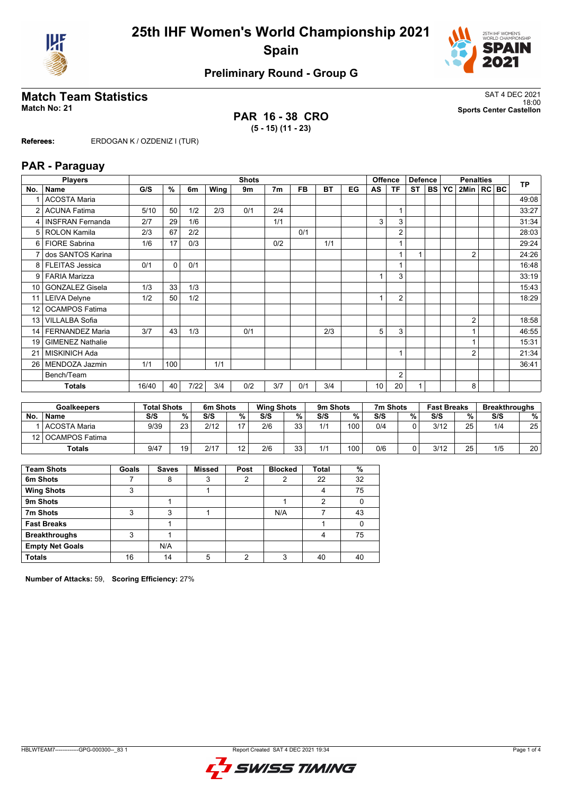



## **Preliminary Round - Group G**

### **Match Team Statistics** SAT 4 DEC 2021

**PAR 16 - 38 CRO (5 - 15) (11 - 23)**

18:00 **Match No: 21 Sports Center Castellon**

**Referees:** ERDOGAN K / OZDENIZ I (TUR)

#### **PAR - Paraguay**

|                 | <b>Players</b>          |       |          |      |      | <b>Shots</b> |                |           |           |    |                 | <b>Offence</b> | <b>Defence</b> |            |           | <b>Penalties</b> |  | <b>TP</b> |
|-----------------|-------------------------|-------|----------|------|------|--------------|----------------|-----------|-----------|----|-----------------|----------------|----------------|------------|-----------|------------------|--|-----------|
| No.             | <b>Name</b>             | G/S   | %        | 6m   | Wing | 9m           | 7 <sub>m</sub> | <b>FB</b> | <b>BT</b> | EG | AS              | <b>TF</b>      | <b>ST</b>      | <b>BSI</b> | <b>YC</b> | 2Min   RC BC     |  |           |
|                 | <b>ACOSTA Maria</b>     |       |          |      |      |              |                |           |           |    |                 |                |                |            |           |                  |  | 49:08     |
| 2               | <b>ACUNA Fatima</b>     | 5/10  | 50       | 1/2  | 2/3  | 0/1          | 2/4            |           |           |    |                 | 1              |                |            |           |                  |  | 33:27     |
| 4               | <b>INSFRAN Fernanda</b> | 2/7   | 29       | 1/6  |      |              | 1/1            |           |           |    | 3               | 3              |                |            |           |                  |  | 31:34     |
| 5               | <b>ROLON Kamila</b>     | 2/3   | 67       | 2/2  |      |              |                | 0/1       |           |    |                 | $\overline{2}$ |                |            |           |                  |  | 28:03     |
| 6               | <b>FIORE Sabrina</b>    | 1/6   | 17       | 0/3  |      |              | 0/2            |           | 1/1       |    |                 | 1              |                |            |           |                  |  | 29:24     |
|                 | dos SANTOS Karina       |       |          |      |      |              |                |           |           |    |                 |                |                |            |           | $\overline{2}$   |  | 24:26     |
| 8               | <b>FLEITAS Jessica</b>  | 0/1   | $\Omega$ | 0/1  |      |              |                |           |           |    |                 | 1              |                |            |           |                  |  | 16:48     |
| 9               | <b>FARIA Marizza</b>    |       |          |      |      |              |                |           |           |    | $\mathbf{1}$    | 3              |                |            |           |                  |  | 33:19     |
| 10 <sup>1</sup> | <b>GONZALEZ Gisela</b>  | 1/3   | 33       | 1/3  |      |              |                |           |           |    |                 |                |                |            |           |                  |  | 15:43     |
| 11              | <b>LEIVA Delyne</b>     | 1/2   | 50       | 1/2  |      |              |                |           |           |    |                 | $\overline{2}$ |                |            |           |                  |  | 18:29     |
| 12 <sup>°</sup> | <b>OCAMPOS Fatima</b>   |       |          |      |      |              |                |           |           |    |                 |                |                |            |           |                  |  |           |
| 13              | <b>VILLALBA Sofia</b>   |       |          |      |      |              |                |           |           |    |                 |                |                |            |           | $\overline{2}$   |  | 18:58     |
| 14              | <b>FERNANDEZ Maria</b>  | 3/7   | 43       | 1/3  |      | 0/1          |                |           | 2/3       |    | 5               | 3              |                |            |           |                  |  | 46:55     |
| 19              | <b>GIMENEZ Nathalie</b> |       |          |      |      |              |                |           |           |    |                 |                |                |            |           |                  |  | 15:31     |
| 21              | <b>MISKINICH Ada</b>    |       |          |      |      |              |                |           |           |    |                 | 1              |                |            |           | $\overline{2}$   |  | 21:34     |
| 26              | MENDOZA Jazmin          | 1/1   | 100      |      | 1/1  |              |                |           |           |    |                 |                |                |            |           |                  |  | 36:41     |
|                 | Bench/Team              |       |          |      |      |              |                |           |           |    |                 | $\overline{2}$ |                |            |           |                  |  |           |
|                 | Totals                  | 16/40 | 40       | 7/22 | 3/4  | 0/2          | 3/7            | 0/1       | 3/4       |    | 10 <sup>°</sup> | 20             |                |            |           | 8                |  |           |

| <b>Goalkeepers</b> |                  | <b>Total Shots</b> |    | 6m Shots |            | <b>Wing Shots</b> |          | 9m Shots |     | 7m Shots | <b>Fast Breaks</b> |      |    | <b>Breakthroughs</b> |    |
|--------------------|------------------|--------------------|----|----------|------------|-------------------|----------|----------|-----|----------|--------------------|------|----|----------------------|----|
| No                 | <b>Name</b>      | S/S                | %  | S/S      | %          | S/S               | %        | S/S      | %   | S/S      | %                  | S/S  | %  | S/S                  | %  |
|                    | l ACOSTA Maria   | 9/39               | 23 | 2/12     | 47         | 2/6               | 33<br>ںر | 1/1      | 100 | 0/4      |                    | 3/12 | 25 | 1/4                  | 25 |
| 12 <sup>1</sup>    | l OCAMPOS Fatima |                    |    |          |            |                   |          |          |     |          |                    |      |    |                      |    |
|                    | Totals           | 9/47               | 19 | 2/17     | $\sqrt{2}$ | 2/6               | 33<br>JJ | 1/1      | 100 | 0/6      |                    | 3/12 | 25 | 1/5                  | 20 |

| <b>Team Shots</b>      | Goals | <b>Saves</b> | <b>Missed</b> | Post | <b>Blocked</b> | <b>Total</b> | %  |
|------------------------|-------|--------------|---------------|------|----------------|--------------|----|
| 6m Shots               |       | 8            | 3             | າ    | 2              | 22           | 32 |
| <b>Wing Shots</b>      | 3     |              |               |      |                | 4            | 75 |
| 9m Shots               |       |              |               |      |                | 2            |    |
| 7m Shots               | 3     | 3            |               |      | N/A            |              | 43 |
| <b>Fast Breaks</b>     |       |              |               |      |                |              |    |
| <b>Breakthroughs</b>   | 3     |              |               |      |                | 4            | 75 |
| <b>Empty Net Goals</b> |       | N/A          |               |      |                |              |    |
| <b>Totals</b>          | 16    | 14           | 5             | ◠    | ર              | 40           | 40 |

**Number of Attacks:** 59, **Scoring Efficiency:** 27%

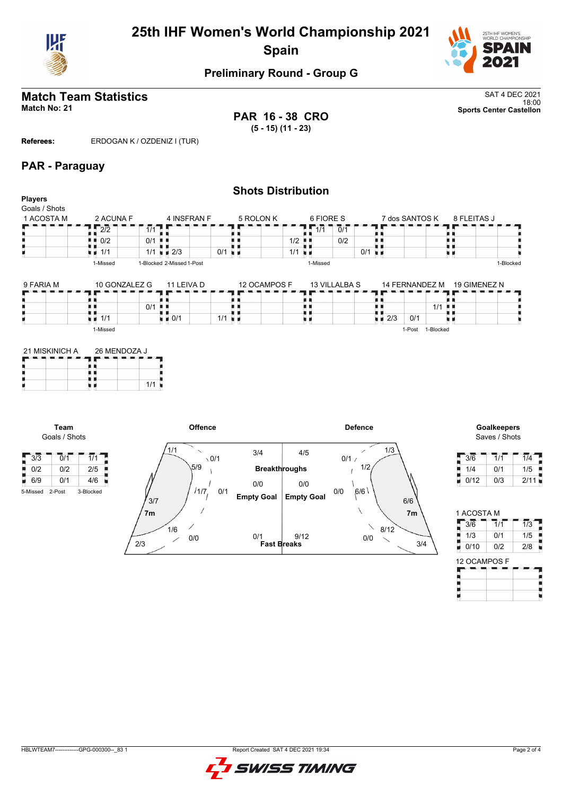

## **25th IHF Women's World Championship 2021 Spain**



### **Preliminary Round - Group G**

# **Match Team Statistics** SAT 4 DEC 2021

18:00 **Match No: 21 Sports Center Castellon PAR 16 - 38 CRO (5 - 15) (11 - 23)**

**Referees:** ERDOGAN K / OZDENIZ I (TUR)

#### **PAR - Paraguay**

|                                               |                 |                                   | <b>Shots Distribution</b> |                    |                                          |              |
|-----------------------------------------------|-----------------|-----------------------------------|---------------------------|--------------------|------------------------------------------|--------------|
| <b>Players</b><br>Goals / Shots<br>1 ACOSTA M | 2 ACUNA F       | 4 INSFRAN F                       | 5 ROLON K                 | 6 FIORE S          | 7 dos SANTOS K                           | 8 FLEITAS J  |
|                                               | $2\overline{2}$ | 1/1                               |                           | 1/1<br>0/1         |                                          |              |
|                                               | 0/2             | 0/1<br>a ka                       |                           | 0/2<br>1/2<br>л. н |                                          |              |
|                                               | 1/1             | $1/1$ $\pm 2/3$                   | $0/1$ u $\blacksquare$    | 1/1<br>×в          | 0/1<br>$\blacksquare$                    |              |
|                                               | 1-Missed        | 1-Blocked 2-Missed 1-Post         |                           | 1-Missed           |                                          | 1-Blocked    |
| 9 FARIA M                                     | 10 GONZALEZ G   | 11 LEIVA D                        | 12 OCAMPOS F              | 13 VILLALBA S      | 14 FERNANDEZ M                           | 19 GIMENEZ N |
|                                               |                 |                                   |                           |                    |                                          |              |
|                                               |                 | 0/1<br>. .                        |                           |                    |                                          | $1/1$ .      |
|                                               | u u<br>1/1      | $\blacksquare$ $\blacksquare$ 0/1 | $1/1$ $\blacksquare$      | u u                | $\blacksquare$ $\blacksquare$ 2/3<br>0/1 |              |
|                                               | 1-Missed        |                                   |                           |                    | 1-Blocked<br>1-Post                      |              |
|                                               |                 |                                   |                           |                    |                                          |              |

| 21 MISKINICH A | 26 MENDOZA J |  |  |  |  |  |
|----------------|--------------|--|--|--|--|--|
|                |              |  |  |  |  |  |
|                |              |  |  |  |  |  |
|                | 1/1          |  |  |  |  |  |

**Team** Goals / Shots





| 3/6  | 1/1 | 1/4  |
|------|-----|------|
| 1/4  | 0/1 | 1/5  |
| 0/12 | 0/3 | 2/11 |

| 1 ACOSTA M |     |                  |
|------------|-----|------------------|
| 3/6        | 1/1 | $\overline{1/3}$ |
| 1/3        | 0/1 | 1/5              |
| 0/10       | 0/2 | 2/8              |

| ו טט וואורוטע |  |
|---------------|--|
|               |  |
|               |  |
|               |  |
|               |  |
|               |  |
|               |  |
|               |  |
|               |  |

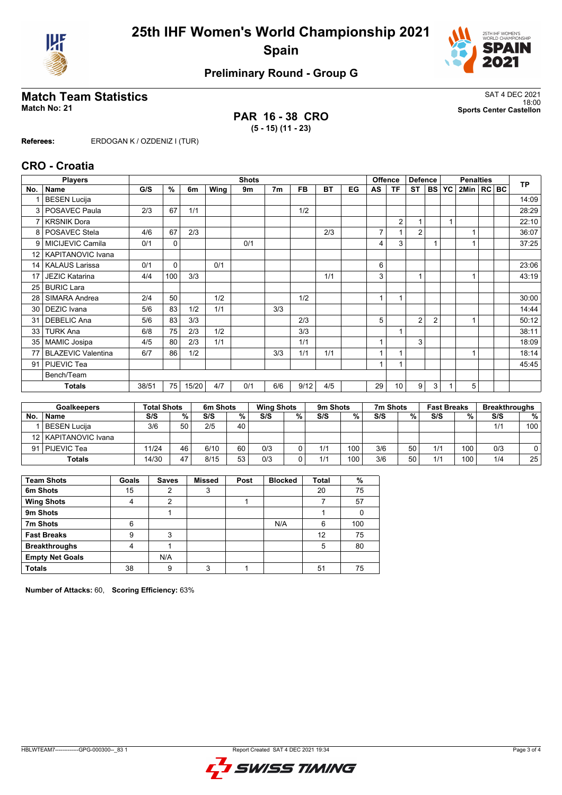



## **Preliminary Round - Group G**

### **Match Team Statistics** SAT 4 DEC 2021

**PAR 16 - 38 CRO (5 - 15) (11 - 23)**

18:00 **Match No: 21 Sports Center Castellon**

**Referees:** ERDOGAN K / OZDENIZ I (TUR)

#### **CRO - Croatia**

|                 | <b>Players</b>            |       |          |       |      | <b>Shots</b> |                |           |           |    |              | <b>Offence</b> | <b>Defence</b> |                |           | <b>Penalties</b> |  | <b>TP</b> |
|-----------------|---------------------------|-------|----------|-------|------|--------------|----------------|-----------|-----------|----|--------------|----------------|----------------|----------------|-----------|------------------|--|-----------|
| No.             | <b>Name</b>               | G/S   | %        | 6m    | Wing | 9m           | 7 <sub>m</sub> | <b>FB</b> | <b>BT</b> | EG | AS           | <b>TF</b>      | <b>ST</b>      | <b>BS</b>      | <b>YC</b> | 2Min   RC BC     |  |           |
|                 | <b>BESEN Lucija</b>       |       |          |       |      |              |                |           |           |    |              |                |                |                |           |                  |  | 14:09     |
| 3               | POSAVEC Paula             | 2/3   | 67       | 1/1   |      |              |                | 1/2       |           |    |              |                |                |                |           |                  |  | 28:29     |
| $\overline{7}$  | <b>KRSNIK Dora</b>        |       |          |       |      |              |                |           |           |    |              | $\overline{2}$ |                |                |           |                  |  | 22:10     |
| 8               | POSAVEC Stela             | 4/6   | 67       | 2/3   |      |              |                |           | 2/3       |    | 7            |                | $\overline{2}$ |                |           |                  |  | 36:07     |
| 9               | MICIJEVIC Camila          | 0/1   | 0        |       |      | 0/1          |                |           |           |    | 4            | 3              |                |                |           |                  |  | 37:25     |
| 12 <sup>°</sup> | <b>KAPITANOVIC Ivana</b>  |       |          |       |      |              |                |           |           |    |              |                |                |                |           |                  |  |           |
| 14              | <b>KALAUS Larissa</b>     | 0/1   | $\Omega$ |       | 0/1  |              |                |           |           |    | 6            |                |                |                |           |                  |  | 23:06     |
| 17              | <b>JEZIC Katarina</b>     | 4/4   | 100      | 3/3   |      |              |                |           | 1/1       |    | 3            |                |                |                |           |                  |  | 43:19     |
| 25              | <b>BURIC Lara</b>         |       |          |       |      |              |                |           |           |    |              |                |                |                |           |                  |  |           |
| 28              | SIMARA Andrea             | 2/4   | 50       |       | 1/2  |              |                | 1/2       |           |    | 1            | $\overline{ }$ |                |                |           |                  |  | 30:00     |
| 30              | <b>DEZIC</b> Ivana        | 5/6   | 83       | 1/2   | 1/1  |              | 3/3            |           |           |    |              |                |                |                |           |                  |  | 14:44     |
| 31              | <b>DEBELIC Ana</b>        | 5/6   | 83       | 3/3   |      |              |                | 2/3       |           |    | 5            |                | 2              | $\overline{2}$ |           |                  |  | 50:12     |
| 33              | <b>TURK Ana</b>           | 6/8   | 75       | 2/3   | 1/2  |              |                | 3/3       |           |    |              | 1              |                |                |           |                  |  | 38:11     |
| 35              | <b>MAMIC Josipa</b>       | 4/5   | 80       | 2/3   | 1/1  |              |                | 1/1       |           |    | $\mathbf{1}$ |                | 3              |                |           |                  |  | 18:09     |
| 77              | <b>BLAZEVIC Valentina</b> | 6/7   | 86       | 1/2   |      |              | 3/3            | 1/1       | 1/1       |    | $\mathbf{1}$ | 1              |                |                |           |                  |  | 18:14     |
| 91              | PIJEVIC Tea               |       |          |       |      |              |                |           |           |    | $\mathbf{1}$ |                |                |                |           |                  |  | 45:45     |
|                 | Bench/Team                |       |          |       |      |              |                |           |           |    |              |                |                |                |           |                  |  |           |
|                 | <b>Totals</b>             | 38/51 | 75       | 15/20 | 4/7  | 0/1          | 6/6            | 9/12      | 4/5       |    | 29           | 10             | 9              | 3              |           | 5                |  |           |

| <b>Goalkeepers</b> |                        | <b>Total Shots</b> |    | 6m Shots |    | <b>Wing Shots</b> |   | 9 <sub>m</sub> Shots |     | 7m Shots |    | <b>Fast Breaks</b> |     | <b>Breakthroughs</b> |                 |
|--------------------|------------------------|--------------------|----|----------|----|-------------------|---|----------------------|-----|----------|----|--------------------|-----|----------------------|-----------------|
| No.                | <b>Name</b>            | S/S                | %  | S/S      | %  | S/S               | % | S/S                  | %   | S/S      | %  | S/S                | %   | S/S                  | %               |
|                    | BESEN Luciia           | 3/6                | 50 | 2/5      | 40 |                   |   |                      |     |          |    |                    |     | 1/1                  | 100             |
|                    | 12   KAPITANOVIC Ivana |                    |    |          |    |                   |   |                      |     |          |    |                    |     |                      |                 |
|                    | 91   PIJEVIC Tea       | 11/24              | 46 | 6/10     | 60 | 0/3               |   | 1/1                  | 100 | 3/6      | 50 | 1/1                | 100 | 0/3                  |                 |
|                    | <b>Totals</b>          | 14/30              | 47 | 8/15     | 53 | 0/3               |   | 1/1                  | 100 | 3/6      | 50 | 1/1                | 100 | 1/4                  | 25 <sub>1</sub> |

| <b>Team Shots</b>      | Goals          | <b>Saves</b> | <b>Missed</b> | Post | <b>Blocked</b> | <b>Total</b> | %   |
|------------------------|----------------|--------------|---------------|------|----------------|--------------|-----|
| 6m Shots               | 15             |              | 3             |      |                | 20           | 75  |
| <b>Wing Shots</b>      |                | 2            |               |      |                |              | 57  |
| 9m Shots               |                |              |               |      |                |              |     |
| 7m Shots               | 6              |              |               |      | N/A            | 6            | 100 |
| <b>Fast Breaks</b>     | 9              | 3            |               |      |                | 12           | 75  |
| <b>Breakthroughs</b>   | $\overline{4}$ |              |               |      |                | 5            | 80  |
| <b>Empty Net Goals</b> |                | N/A          |               |      |                |              |     |
| <b>Totals</b>          | 38             | 9            | 3             |      |                | 51           | 75  |

**Number of Attacks:** 60, **Scoring Efficiency:** 63%